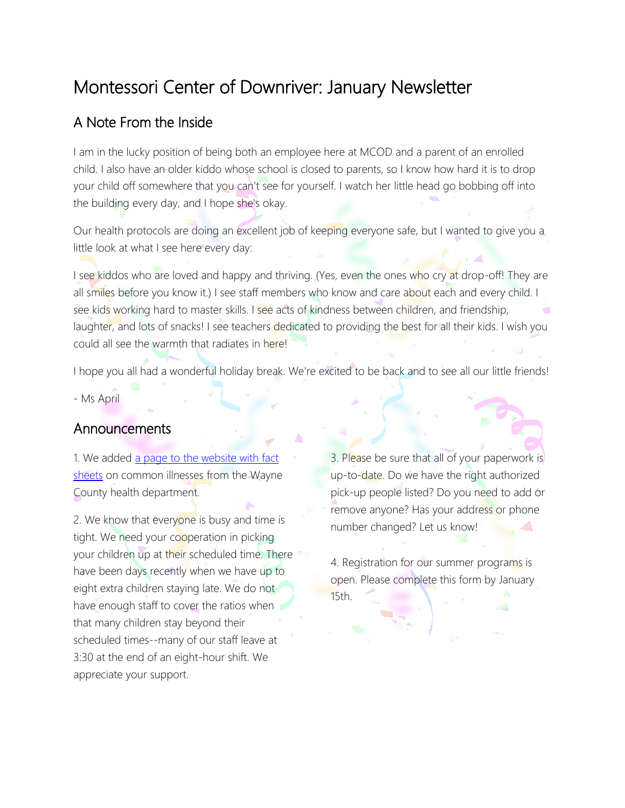# Montessori Center of Downriver: January Newsletter

#### A Note From the Inside

I am in the lucky position of being both an employee here at MCOD and a parent of an enrolled child. I also have an older kiddo whose school is closed to parents, so I know how hard it is to drop your child off somewhere that you can't see for yourself. I watch her little head go bobbing off into the building every day, and I hope she's okay.

Our health protocols are doing an excellent job of keeping everyone safe, but I wanted to give you a little look at what I see here every day:

I see kiddos who are loved and happy and thriving. (Yes, even the ones who cry at drop-off! They are all smiles before you know it.) I see staff members who know and care about each and every child. I see kids working hard to master skills. I see acts of kindness between children, and friendship, laughter, and lots of snacks! I see teachers dedicated to providing the best for all their kids. I wish you could all see the warmth that radiates in here!

I hope you all had a wonderful holiday break. We're excited to be back and to see all our little friends! - Ms April

#### Announcements

1. We added a page to the website with fact [sheets](http://montessoridownriver.com/health-and-safety/) on common illnesses from the Wayne County health department.

2. We know that everyone is busy and time is tight. We need your cooperation in picking your children up at their scheduled time. There have been days recently when we have up to eight extra children staying late. We do not have enough staff to cover the ratios when that many children stay beyond their scheduled times--many of our staff leave at 3:30 at the end of an eight-hour shift. We appreciate your support.

3. Please be sure that all of your paperwork is up-to-date. Do we have the right authorized pick-up people listed? Do you need to add or remove anyone? Has your address or phone number changed? Let us know!

4. Registration for our summer programs is open. Please complete this form by January 15th.